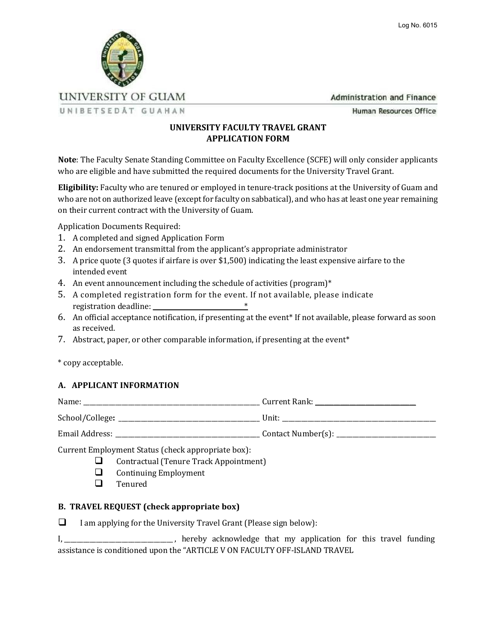

**Administration and Finance** 

UNIBETSEDÅT GUAHAN

Human Resources Office

## **UNIVERSITY FACULTY TRAVEL GRANT APPLICATION FORM**

**Note**: The Faculty Senate Standing Committee on Faculty Excellence (SCFE) will only consider applicants who are eligible and have submitted the required documents for the University Travel Grant.

**Eligibility:** Faculty who are tenured or employed in tenure-track positions at the University of Guam and who are not on authorized leave (except for faculty on sabbatical), and who has at least one year remaining on their current contract with the University of Guam.

Application Documents Required:

- 1. A completed and signed Application Form
- 2. An endorsement transmittal from the applicant's appropriate administrator
- 3. A price quote (3 quotes if airfare is over \$1,500) indicating the least expensive airfare to the intended event
- 4. An event announcement including the schedule of activities (program)\*
- 5. A completed registration form for the event. If not available, please indicate registration deadline: \_\_\_\_\_\_\_\_\_\_\_\_\_\_\_\_\_\_\_\_\_\_\_\_\_\_\_\_\_\*
- 6. An official acceptance notification, if presenting at the event\* If not available, please forward as soon as received.
- 7. Abstract, paper, or other comparable information, if presenting at the event\*

\* copy acceptable.

## **A. APPLICANT INFORMATION**

| Name:           | Current Rank:      |
|-----------------|--------------------|
| School/College: | Unit:              |
| Email Address:  | Contact Number(s): |
|                 |                    |

Current Employment Status (check appropriate box):

- ❑ Contractual (Tenure Track Appointment)
- ❑ Continuing Employment
- ❑ Tenured

## **B. TRAVEL REQUEST (check appropriate box)**

 $\Box$  I am applying for the University Travel Grant (Please sign below):

I,\_\_\_\_\_\_\_\_\_\_\_\_\_\_\_\_\_\_\_\_\_\_\_\_\_\_\_\_\_\_\_\_\_\_ , hereby acknowledge that my application for this travel funding assistance is conditioned upon the "ARTICLE V ON FACULTY OFF-ISLAND TRAVEL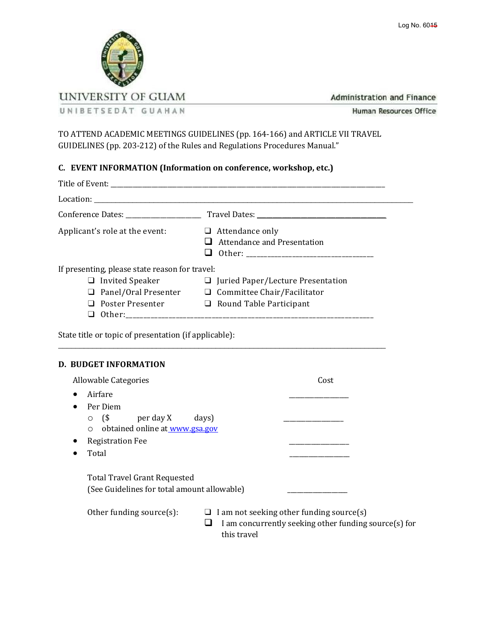



**Administration and Finance** 

Human Resources Office

TO ATTEND ACADEMIC MEETINGS GUIDELINES (pp. 164-166) and ARTICLE VII TRAVEL GUIDELINES (pp. 203-212) of the Rules and Regulations Procedures Manual."

## **C. EVENT INFORMATION (Information on conference, workshop, etc.)**

| Applicant's role at the event:                        | $\Box$ Attendance only<br>$\Box$ Attendance and Presentation    |
|-------------------------------------------------------|-----------------------------------------------------------------|
| If presenting, please state reason for travel:        |                                                                 |
|                                                       | $\Box$ Invited Speaker $\Box$ Juried Paper/Lecture Presentation |
|                                                       | $\Box$ Panel/Oral Presenter $\Box$ Committee Chair/Facilitator  |
|                                                       | $\Box$ Poster Presenter $\Box$ Round Table Participant          |
| State title or topic of presentation (if applicable): |                                                                 |
| D. BUDGET INFORMATION                                 |                                                                 |
| Allowable Categories                                  | Cost                                                            |
| Airfare<br>$\bullet$                                  |                                                                 |
| Per Diem<br>$\bullet$                                 |                                                                 |
| $\circ$ (\$ per day X days)                           |                                                                 |
| $\sim$ obtained online at www.gea.gov                 |                                                                 |

| Allowable Categories                                                                                                                                  | Cost                                                                                                             |  |  |  |  |  |  |
|-------------------------------------------------------------------------------------------------------------------------------------------------------|------------------------------------------------------------------------------------------------------------------|--|--|--|--|--|--|
| Airfare<br>$\bullet$                                                                                                                                  |                                                                                                                  |  |  |  |  |  |  |
| Per Diem<br>$\bullet$<br>$($ \$<br>per day X<br>$\circ$<br>obtained online at www.gsa.gov<br>$\circ$<br><b>Registration Fee</b><br>Total<br>$\bullet$ | days)                                                                                                            |  |  |  |  |  |  |
| <b>Total Travel Grant Requested</b><br>(See Guidelines for total amount allowable)                                                                    |                                                                                                                  |  |  |  |  |  |  |
| Other funding source $(s)$ :                                                                                                                          | I am not seeking other funding source(s)<br>I am concurrently seeking other funding source(s) for<br>this travel |  |  |  |  |  |  |